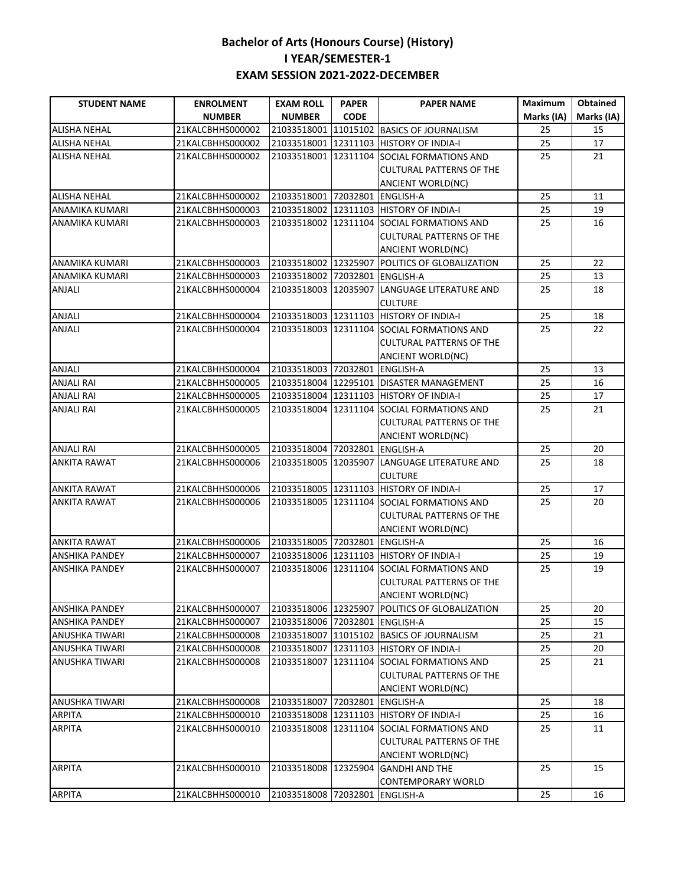| <b>STUDENT NAME</b>   | <b>ENROLMENT</b> | <b>EXAM ROLL</b>               | <b>PAPER</b> | <b>PAPER NAME</b>                              | <b>Maximum</b> | <b>Obtained</b> |
|-----------------------|------------------|--------------------------------|--------------|------------------------------------------------|----------------|-----------------|
|                       | <b>NUMBER</b>    | <b>NUMBER</b>                  | <b>CODE</b>  |                                                | Marks (IA)     | Marks (IA)      |
| <b>ALISHA NEHAL</b>   | 21KALCBHHS000002 | 21033518001                    | 11015102     | <b>BASICS OF JOURNALISM</b>                    | 25             | 15              |
| <b>ALISHA NEHAL</b>   | 21KALCBHHS000002 | 21033518001                    | 12311103     | <b>HISTORY OF INDIA-I</b>                      | 25             | 17              |
| <b>ALISHA NEHAL</b>   | 21KALCBHHS000002 | 21033518001 12311104           |              | SOCIAL FORMATIONS AND                          | 25             | 21              |
|                       |                  |                                |              | <b>CULTURAL PATTERNS OF THE</b>                |                |                 |
|                       |                  |                                |              | <b>ANCIENT WORLD(NC)</b>                       |                |                 |
| <b>ALISHA NEHAL</b>   | 21KALCBHHS000002 | 21033518001 72032801           |              | <b>ENGLISH-A</b>                               | 25             | 11              |
| ANAMIKA KUMARI        | 21KALCBHHS000003 |                                |              | 21033518002 12311103 HISTORY OF INDIA-I        | 25             | 19              |
| ANAMIKA KUMARI        | 21KALCBHHS000003 | 21033518002 12311104           |              | SOCIAL FORMATIONS AND                          | 25             | 16              |
|                       |                  |                                |              | <b>CULTURAL PATTERNS OF THE</b>                |                |                 |
|                       |                  |                                |              | ANCIENT WORLD(NC)                              |                |                 |
| <b>ANAMIKA KUMARI</b> | 21KALCBHHS000003 | 21033518002 12325907           |              | POLITICS OF GLOBALIZATION                      | 25             | 22              |
| <b>ANAMIKA KUMARI</b> | 21KALCBHHS000003 | 21033518002 72032801 ENGLISH-A |              |                                                | 25             | 13              |
| <b>ANJALI</b>         | 21KALCBHHS000004 | 21033518003                    | 12035907     | LANGUAGE LITERATURE AND                        | 25             | 18              |
|                       |                  |                                |              | <b>CULTURE</b>                                 |                |                 |
| <b>ANJALI</b>         | 21KALCBHHS000004 | 21033518003 12311103           |              | <b>HISTORY OF INDIA-I</b>                      | 25             | 18              |
| <b>ANJALI</b>         | 21KALCBHHS000004 |                                |              | 21033518003 12311104 SOCIAL FORMATIONS AND     | 25             | 22              |
|                       |                  |                                |              | <b>CULTURAL PATTERNS OF THE</b>                |                |                 |
|                       |                  |                                |              | ANCIENT WORLD(NC)                              |                |                 |
| ANJALI                | 21KALCBHHS000004 | 21033518003 72032801 ENGLISH-A |              |                                                | 25             | 13              |
| <b>ANJALI RAI</b>     | 21KALCBHHS000005 | 21033518004                    |              | 12295101 DISASTER MANAGEMENT                   | 25             | 16              |
| ANJALI RAI            | 21KALCBHHS000005 | 21033518004                    | 12311103     | <b>HISTORY OF INDIA-I</b>                      | 25             | 17              |
| <b>ANJALI RAI</b>     | 21KALCBHHS000005 | 21033518004                    |              | 12311104 SOCIAL FORMATIONS AND                 | 25             | 21              |
|                       |                  |                                |              | <b>CULTURAL PATTERNS OF THE</b>                |                |                 |
|                       |                  |                                |              | ANCIENT WORLD(NC)                              |                |                 |
| <b>ANJALI RAI</b>     | 21KALCBHHS000005 | 21033518004                    | 72032801     | <b>ENGLISH-A</b>                               | 25             | 20              |
| ANKITA RAWAT          | 21KALCBHHS000006 | 21033518005                    | 12035907     | LANGUAGE LITERATURE AND                        | 25             | 18              |
|                       |                  |                                |              | <b>CULTURE</b>                                 |                |                 |
| <b>ANKITA RAWAT</b>   | 21KALCBHHS000006 | 21033518005 12311103           |              | <b>HISTORY OF INDIA-I</b>                      | 25             | 17              |
| ANKITA RAWAT          | 21KALCBHHS000006 |                                |              | 21033518005 12311104 SOCIAL FORMATIONS AND     | 25             | 20              |
|                       |                  |                                |              | <b>CULTURAL PATTERNS OF THE</b>                |                |                 |
|                       |                  |                                |              | <b>ANCIENT WORLD(NC)</b>                       |                |                 |
| <b>ANKITA RAWAT</b>   | 21KALCBHHS000006 | 21033518005 72032801           |              | <b>ENGLISH-A</b>                               | 25             | 16              |
| <b>ANSHIKA PANDEY</b> | 21KALCBHHS000007 | 21033518006 12311103           |              | <b>HISTORY OF INDIA-I</b>                      | 25             | 19              |
| ANSHIKA PANDEY        | 21KALCBHHS000007 | 21033518006 12311104           |              | SOCIAL FORMATIONS AND                          | 25             | 19              |
|                       |                  |                                |              | <b>CULTURAL PATTERNS OF THE</b>                |                |                 |
|                       |                  |                                |              | ANCIENT WORLD(NC)                              |                |                 |
| <b>ANSHIKA PANDEY</b> | 21KALCBHHS000007 |                                |              | 21033518006 12325907 POLITICS OF GLOBALIZATION | 25             | 20              |
| <b>ANSHIKA PANDEY</b> | 21KALCBHHS000007 | 21033518006 72032801 ENGLISH-A |              |                                                | 25             | 15              |
| <b>ANUSHKA TIWARI</b> | 21KALCBHHS000008 |                                |              | 21033518007 11015102 BASICS OF JOURNALISM      | 25             | 21              |
| <b>ANUSHKA TIWARI</b> | 21KALCBHHS000008 |                                |              | 21033518007 12311103 HISTORY OF INDIA-I        | 25             | 20              |
| <b>ANUSHKA TIWARI</b> | 21KALCBHHS000008 |                                |              | 21033518007 12311104 SOCIAL FORMATIONS AND     | 25             | 21              |
|                       |                  |                                |              | CULTURAL PATTERNS OF THE                       |                |                 |
|                       |                  |                                |              | ANCIENT WORLD(NC)                              |                |                 |
| <b>ANUSHKA TIWARI</b> | 21KALCBHHS000008 | 21033518007 72032801 ENGLISH-A |              |                                                | 25             | 18              |
| <b>ARPITA</b>         | 21KALCBHHS000010 |                                |              | 21033518008 12311103 HISTORY OF INDIA-I        | 25             | 16              |
| <b>ARPITA</b>         | 21KALCBHHS000010 | 21033518008 12311104           |              | SOCIAL FORMATIONS AND                          | 25             | 11              |
|                       |                  |                                |              | CULTURAL PATTERNS OF THE                       |                |                 |
|                       |                  |                                |              | ANCIENT WORLD(NC)                              |                |                 |
| <b>ARPITA</b>         | 21KALCBHHS000010 | 21033518008 12325904           |              | <b>GANDHI AND THE</b>                          | 25             | 15              |
|                       |                  |                                |              | <b>CONTEMPORARY WORLD</b>                      |                |                 |
| <b>ARPITA</b>         | 21KALCBHHS000010 | 21033518008 72032801 ENGLISH-A |              |                                                | 25             | 16              |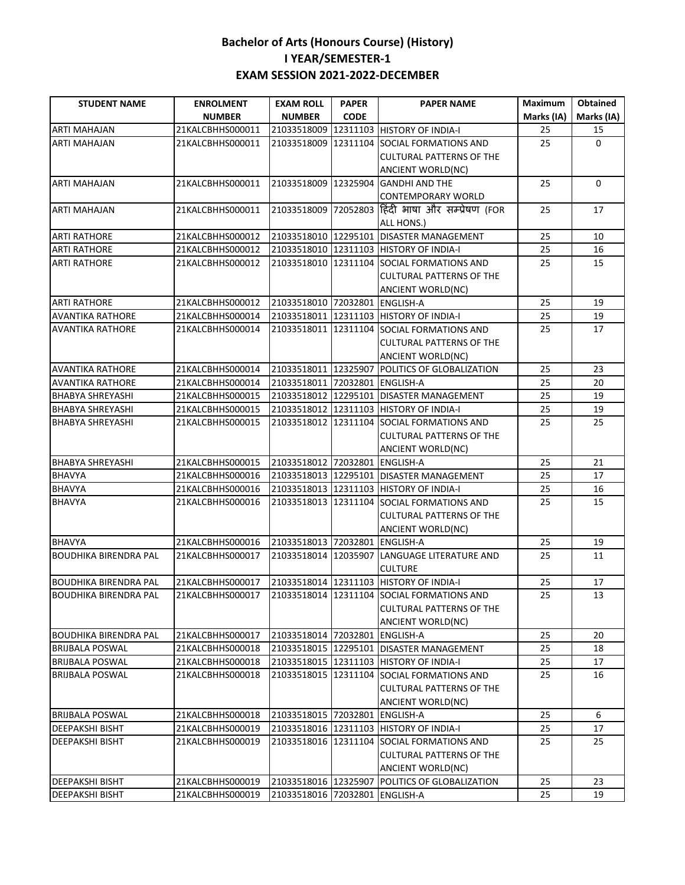| <b>STUDENT NAME</b>          | <b>ENROLMENT</b> | <b>EXAM ROLL</b>               | <b>PAPER</b> | <b>PAPER NAME</b>                              | <b>Maximum</b> | <b>Obtained</b> |
|------------------------------|------------------|--------------------------------|--------------|------------------------------------------------|----------------|-----------------|
|                              | <b>NUMBER</b>    | <b>NUMBER</b>                  | <b>CODE</b>  |                                                | Marks (IA)     | Marks (IA)      |
| <b>ARTI MAHAJAN</b>          | 21KALCBHHS000011 | 21033518009                    | 12311103     | <b>HISTORY OF INDIA-I</b>                      | 25             | 15              |
| <b>ARTI MAHAJAN</b>          | 21KALCBHHS000011 | 21033518009                    | 12311104     | <b>SOCIAL FORMATIONS AND</b>                   | 25             | $\Omega$        |
|                              |                  |                                |              | <b>CULTURAL PATTERNS OF THE</b>                |                |                 |
|                              |                  |                                |              | ANCIENT WORLD(NC)                              |                |                 |
| <b>ARTI MAHAJAN</b>          | 21KALCBHHS000011 | 21033518009 12325904           |              | <b>GANDHI AND THE</b>                          | 25             | $\Omega$        |
|                              |                  |                                |              | <b>CONTEMPORARY WORLD</b>                      |                |                 |
| <b>ARTI MAHAJAN</b>          | 21KALCBHHS000011 | 21033518009                    |              | 72052803 हिंदी भाषा और सम्प्रेषण (FOR          | 25             | 17              |
|                              |                  |                                |              | ALL HONS.)                                     |                |                 |
| <b>ARTI RATHORE</b>          | 21KALCBHHS000012 | 21033518010 12295101           |              | <b>DISASTER MANAGEMENT</b>                     | 25             | 10              |
| <b>ARTI RATHORE</b>          | 21KALCBHHS000012 |                                |              | 21033518010 12311103 HISTORY OF INDIA-I        | 25             | 16              |
| <b>ARTI RATHORE</b>          | 21KALCBHHS000012 |                                |              | 21033518010 12311104 SOCIAL FORMATIONS AND     | 25             | 15              |
|                              |                  |                                |              | <b>CULTURAL PATTERNS OF THE</b>                |                |                 |
|                              |                  |                                |              | <b>ANCIENT WORLD(NC)</b>                       |                |                 |
| <b>ARTI RATHORE</b>          | 21KALCBHHS000012 | 21033518010 72032801 ENGLISH-A |              |                                                | 25             | 19              |
| <b>AVANTIKA RATHORE</b>      | 21KALCBHHS000014 |                                |              | 21033518011 12311103 HISTORY OF INDIA-I        | 25             | 19              |
| <b>AVANTIKA RATHORE</b>      | 21KALCBHHS000014 |                                |              | 21033518011 12311104 SOCIAL FORMATIONS AND     | 25             | 17              |
|                              |                  |                                |              | <b>CULTURAL PATTERNS OF THE</b>                |                |                 |
|                              |                  |                                |              | <b>ANCIENT WORLD(NC)</b>                       |                |                 |
| <b>AVANTIKA RATHORE</b>      | 21KALCBHHS000014 |                                |              | 21033518011 12325907 POLITICS OF GLOBALIZATION | 25             | 23              |
| <b>AVANTIKA RATHORE</b>      | 21KALCBHHS000014 | 21033518011 72032801 ENGLISH-A |              |                                                | 25             | 20              |
| <b>BHABYA SHREYASHI</b>      | 21KALCBHHS000015 |                                |              | 21033518012 12295101 DISASTER MANAGEMENT       | 25             | 19              |
| <b>BHABYA SHREYASHI</b>      | 21KALCBHHS000015 |                                |              | 21033518012 12311103 HISTORY OF INDIA-I        | 25             | 19              |
| <b>BHABYA SHREYASHI</b>      | 21KALCBHHS000015 |                                |              | 21033518012 12311104 SOCIAL FORMATIONS AND     | 25             | 25              |
|                              |                  |                                |              | <b>CULTURAL PATTERNS OF THE</b>                |                |                 |
|                              |                  |                                |              | ANCIENT WORLD(NC)                              |                |                 |
| <b>BHABYA SHREYASHI</b>      | 21KALCBHHS000015 | 21033518012 72032801 ENGLISH-A |              |                                                | 25             | 21              |
| <b>BHAVYA</b>                | 21KALCBHHS000016 |                                |              | 21033518013 12295101 DISASTER MANAGEMENT       | 25             | 17              |
| <b>BHAVYA</b>                | 21KALCBHHS000016 |                                |              | 21033518013 12311103 HISTORY OF INDIA-I        | 25             | 16              |
| <b>BHAVYA</b>                | 21KALCBHHS000016 |                                |              | 21033518013 12311104 SOCIAL FORMATIONS AND     | 25             | 15              |
|                              |                  |                                |              | <b>CULTURAL PATTERNS OF THE</b>                |                |                 |
|                              |                  |                                |              | ANCIENT WORLD(NC)                              |                |                 |
| <b>BHAVYA</b>                | 21KALCBHHS000016 | 21033518013 72032801           |              | <b>ENGLISH-A</b>                               | 25             | 19              |
| <b>BOUDHIKA BIRENDRA PAL</b> | 21KALCBHHS000017 | 21033518014 12035907           |              | LANGUAGE LITERATURE AND                        | 25             | 11              |
|                              |                  |                                |              | <b>CULTURE</b>                                 |                |                 |
| <b>BOUDHIKA BIRENDRA PAL</b> | 21KALCBHHS000017 |                                |              | 21033518014 12311103 HISTORY OF INDIA-I        | 25             | 17              |
| <b>BOUDHIKA BIRENDRA PAL</b> | 21KALCBHHS000017 |                                |              | 21033518014 12311104 SOCIAL FORMATIONS AND     | 25             | 13              |
|                              |                  |                                |              | <b>CULTURAL PATTERNS OF THE</b>                |                |                 |
|                              |                  |                                |              | ANCIENT WORLD(NC)                              |                |                 |
| <b>BOUDHIKA BIRENDRA PAL</b> | 21KALCBHHS000017 | 21033518014 72032801 ENGLISH-A |              |                                                | 25             | 20              |
| <b>BRIJBALA POSWAL</b>       | 21KALCBHHS000018 |                                |              | 21033518015 12295101 DISASTER MANAGEMENT       | 25             | 18              |
| <b>BRIJBALA POSWAL</b>       | 21KALCBHHS000018 |                                |              | 21033518015 12311103 HISTORY OF INDIA-I        | 25             | 17              |
| <b>BRIJBALA POSWAL</b>       | 21KALCBHHS000018 | 21033518015 12311104           |              | SOCIAL FORMATIONS AND                          | 25             | 16              |
|                              |                  |                                |              | <b>CULTURAL PATTERNS OF THE</b>                |                |                 |
|                              |                  |                                |              | <b>ANCIENT WORLD(NC)</b>                       |                |                 |
| <b>BRIJBALA POSWAL</b>       | 21KALCBHHS000018 | 21033518015 72032801 ENGLISH-A |              |                                                | 25             | 6               |
| <b>DEEPAKSHI BISHT</b>       | 21KALCBHHS000019 | 21033518016 12311103           |              | <b>HISTORY OF INDIA-I</b>                      | 25             | 17              |
| <b>DEEPAKSHI BISHT</b>       | 21KALCBHHS000019 | 21033518016 12311104           |              | <b>SOCIAL FORMATIONS AND</b>                   | 25             | 25              |
|                              |                  |                                |              | <b>CULTURAL PATTERNS OF THE</b>                |                |                 |
|                              |                  |                                |              | ANCIENT WORLD(NC)                              |                |                 |
| <b>DEEPAKSHI BISHT</b>       | 21KALCBHHS000019 |                                |              | 21033518016 12325907 POLITICS OF GLOBALIZATION | 25             | 23              |
| <b>DEEPAKSHI BISHT</b>       | 21KALCBHHS000019 | 21033518016 72032801 ENGLISH-A |              |                                                | 25             | 19              |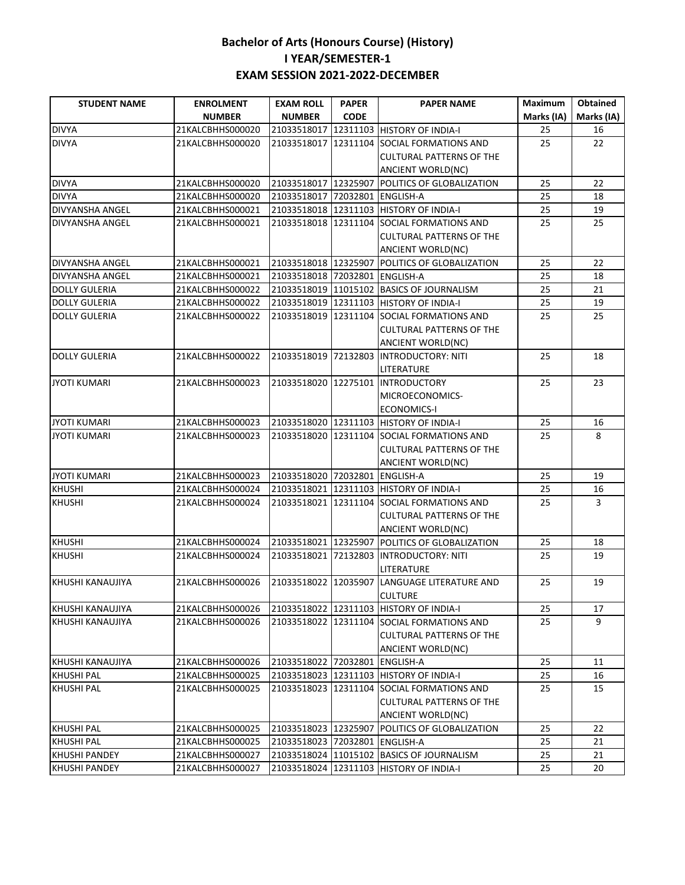| <b>STUDENT NAME</b>    | <b>ENROLMENT</b> | <b>EXAM ROLL</b>               | <b>PAPER</b> | <b>PAPER NAME</b>                              | Maximum    | <b>Obtained</b> |
|------------------------|------------------|--------------------------------|--------------|------------------------------------------------|------------|-----------------|
|                        | <b>NUMBER</b>    | <b>NUMBER</b>                  | <b>CODE</b>  |                                                | Marks (IA) | Marks (IA)      |
| <b>DIVYA</b>           | 21KALCBHHS000020 | 21033518017                    |              | 12311103 HISTORY OF INDIA-I                    | 25         | 16              |
| <b>DIVYA</b>           | 21KALCBHHS000020 | 21033518017                    | 12311104     | SOCIAL FORMATIONS AND                          | 25         | 22              |
|                        |                  |                                |              | <b>CULTURAL PATTERNS OF THE</b>                |            |                 |
|                        |                  |                                |              | <b>ANCIENT WORLD(NC)</b>                       |            |                 |
| <b>DIVYA</b>           | 21KALCBHHS000020 | 21033518017 12325907           |              | POLITICS OF GLOBALIZATION                      | 25         | 22              |
| <b>DIVYA</b>           | 21KALCBHHS000020 | 21033518017 72032801           |              | <b>ENGLISH-A</b>                               | 25         | 18              |
| <b>DIVYANSHA ANGEL</b> | 21KALCBHHS000021 |                                |              | 21033518018 12311103 HISTORY OF INDIA-I        | 25         | 19              |
| DIVYANSHA ANGEL        | 21KALCBHHS000021 | 21033518018 12311104           |              | SOCIAL FORMATIONS AND                          | 25         | 25              |
|                        |                  |                                |              | <b>CULTURAL PATTERNS OF THE</b>                |            |                 |
|                        |                  |                                |              | ANCIENT WORLD(NC)                              |            |                 |
| <b>DIVYANSHA ANGEL</b> | 21KALCBHHS000021 |                                |              | 21033518018 12325907 POLITICS OF GLOBALIZATION | 25         | 22              |
| DIVYANSHA ANGEL        | 21KALCBHHS000021 | 21033518018 72032801 ENGLISH-A |              |                                                | 25         | 18              |
| <b>DOLLY GULERIA</b>   | 21KALCBHHS000022 |                                |              | 21033518019 11015102 BASICS OF JOURNALISM      | 25         | 21              |
| <b>DOLLY GULERIA</b>   | 21KALCBHHS000022 |                                |              | 21033518019 12311103 HISTORY OF INDIA-I        | 25         | 19              |
| <b>DOLLY GULERIA</b>   | 21KALCBHHS000022 |                                |              | 21033518019 12311104 SOCIAL FORMATIONS AND     | 25         | 25              |
|                        |                  |                                |              | <b>CULTURAL PATTERNS OF THE</b>                |            |                 |
|                        |                  |                                |              | ANCIENT WORLD(NC)                              |            |                 |
| <b>DOLLY GULERIA</b>   | 21KALCBHHS000022 | 21033518019                    |              | 72132803 INTRODUCTORY: NITI                    | 25         | 18              |
|                        |                  |                                |              | LITERATURE                                     |            |                 |
| <b>JYOTI KUMARI</b>    | 21KALCBHHS000023 | 21033518020                    |              | 12275101 INTRODUCTORY                          | 25         | 23              |
|                        |                  |                                |              | MICROECONOMICS-                                |            |                 |
|                        |                  |                                |              | <b>ECONOMICS-I</b>                             |            |                 |
| <b>JYOTI KUMARI</b>    | 21KALCBHHS000023 | 21033518020                    |              | 12311103 HISTORY OF INDIA-I                    | 25         | 16              |
| <b>JYOTI KUMARI</b>    | 21KALCBHHS000023 | 21033518020                    |              | 12311104 SOCIAL FORMATIONS AND                 | 25         | 8               |
|                        |                  |                                |              | <b>CULTURAL PATTERNS OF THE</b>                |            |                 |
|                        |                  |                                |              | ANCIENT WORLD(NC)                              |            |                 |
| <b>JYOTI KUMARI</b>    | 21KALCBHHS000023 | 21033518020 72032801 ENGLISH-A |              |                                                | 25         | 19              |
| <b>KHUSHI</b>          | 21KALCBHHS000024 | 21033518021                    |              | 12311103 HISTORY OF INDIA-I                    | 25         | 16              |
| <b>KHUSHI</b>          | 21KALCBHHS000024 |                                |              | 21033518021 12311104 SOCIAL FORMATIONS AND     | 25         | 3               |
|                        |                  |                                |              | <b>CULTURAL PATTERNS OF THE</b>                |            |                 |
|                        |                  |                                |              | ANCIENT WORLD(NC)                              |            |                 |
| <b>KHUSHI</b>          | 21KALCBHHS000024 | 21033518021 12325907           |              | POLITICS OF GLOBALIZATION                      | 25         | 18              |
| <b>KHUSHI</b>          | 21KALCBHHS000024 | 21033518021                    |              | 72132803 INTRODUCTORY: NITI                    | 25         | 19              |
|                        |                  |                                |              | LITERATURE                                     |            |                 |
| KHUSHI KANAUJIYA       | 21KALCBHHS000026 | 21033518022                    | 12035907     | LANGUAGE LITERATURE AND                        | 25         | 19              |
|                        |                  |                                |              | <b>CULTURE</b>                                 |            |                 |
| KHUSHI KANAUJIYA       | 21KALCBHHS000026 |                                |              | 21033518022 12311103 HISTORY OF INDIA-I        | 25         | 17              |
| KHUSHI KANAUJIYA       | 21KALCBHHS000026 |                                |              | 21033518022 12311104 SOCIAL FORMATIONS AND     | 25         | 9               |
|                        |                  |                                |              | <b>CULTURAL PATTERNS OF THE</b>                |            |                 |
|                        |                  |                                |              | ANCIENT WORLD(NC)                              |            |                 |
| KHUSHI KANAUJIYA       | 21KALCBHHS000026 | 21033518022 72032801 ENGLISH-A |              |                                                | 25         | 11              |
| <b>KHUSHI PAL</b>      | 21KALCBHHS000025 |                                |              | 21033518023 12311103 HISTORY OF INDIA-I        | 25         | 16              |
| <b>KHUSHI PAL</b>      | 21KALCBHHS000025 |                                |              | 21033518023 12311104 SOCIAL FORMATIONS AND     | 25         | 15              |
|                        |                  |                                |              | <b>CULTURAL PATTERNS OF THE</b>                |            |                 |
|                        |                  |                                |              | ANCIENT WORLD(NC)                              |            |                 |
| <b>KHUSHI PAL</b>      | 21KALCBHHS000025 |                                |              | 21033518023 12325907 POLITICS OF GLOBALIZATION | 25         | 22              |
| <b>KHUSHI PAL</b>      | 21KALCBHHS000025 | 21033518023 72032801 ENGLISH-A |              |                                                | 25         | 21              |
| <b>KHUSHI PANDEY</b>   | 21KALCBHHS000027 |                                |              | 21033518024 11015102 BASICS OF JOURNALISM      | 25         | 21              |
| <b>KHUSHI PANDEY</b>   | 21KALCBHHS000027 |                                |              | 21033518024 12311103 HISTORY OF INDIA-I        | 25         | 20              |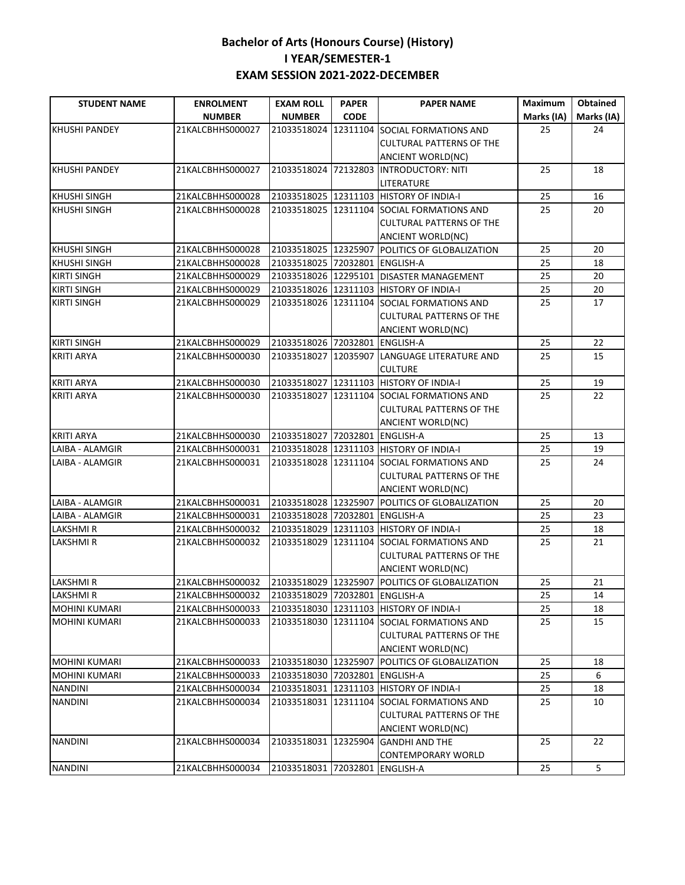| <b>STUDENT NAME</b>  | <b>ENROLMENT</b> | <b>EXAM ROLL</b>               | <b>PAPER</b> | <b>PAPER NAME</b>                              | Maximum    | <b>Obtained</b> |
|----------------------|------------------|--------------------------------|--------------|------------------------------------------------|------------|-----------------|
|                      | <b>NUMBER</b>    | <b>NUMBER</b>                  | <b>CODE</b>  |                                                | Marks (IA) | Marks (IA)      |
| <b>KHUSHI PANDEY</b> | 21KALCBHHS000027 | 21033518024                    | 12311104     | SOCIAL FORMATIONS AND                          | 25         | 24              |
|                      |                  |                                |              | <b>CULTURAL PATTERNS OF THE</b>                |            |                 |
|                      |                  |                                |              | ANCIENT WORLD(NC)                              |            |                 |
| <b>KHUSHI PANDEY</b> | 21KALCBHHS000027 | 21033518024 72132803           |              | <b>INTRODUCTORY: NITI</b>                      | 25         | 18              |
|                      |                  |                                |              | LITERATURE                                     |            |                 |
| <b>KHUSHI SINGH</b>  | 21KALCBHHS000028 |                                |              | 21033518025 12311103 HISTORY OF INDIA-I        | 25         | 16              |
| <b>KHUSHI SINGH</b>  | 21KALCBHHS000028 | 21033518025 12311104           |              | SOCIAL FORMATIONS AND                          | 25         | 20              |
|                      |                  |                                |              | <b>CULTURAL PATTERNS OF THE</b>                |            |                 |
|                      |                  |                                |              | <b>ANCIENT WORLD(NC)</b>                       |            |                 |
| <b>KHUSHI SINGH</b>  | 21KALCBHHS000028 | 21033518025 12325907           |              | POLITICS OF GLOBALIZATION                      | 25         | 20              |
| <b>KHUSHI SINGH</b>  | 21KALCBHHS000028 | 21033518025 72032801 ENGLISH-A |              |                                                | 25         | 18              |
| <b>KIRTI SINGH</b>   | 21KALCBHHS000029 |                                |              | 21033518026 12295101 DISASTER MANAGEMENT       | 25         | 20              |
| <b>KIRTI SINGH</b>   | 21KALCBHHS000029 |                                |              | 21033518026 12311103 HISTORY OF INDIA-I        | 25         | 20              |
| <b>KIRTI SINGH</b>   | 21KALCBHHS000029 |                                |              | 21033518026 12311104 SOCIAL FORMATIONS AND     | 25         | 17              |
|                      |                  |                                |              | <b>CULTURAL PATTERNS OF THE</b>                |            |                 |
|                      |                  |                                |              | <b>ANCIENT WORLD(NC)</b>                       |            |                 |
| <b>KIRTI SINGH</b>   | 21KALCBHHS000029 | 21033518026 72032801           |              | <b>ENGLISH-A</b>                               | 25         | 22              |
| <b>KRITI ARYA</b>    | 21KALCBHHS000030 | 21033518027 12035907           |              | LANGUAGE LITERATURE AND                        | 25         | 15              |
|                      |                  |                                |              | <b>CULTURE</b>                                 |            |                 |
| <b>KRITI ARYA</b>    | 21KALCBHHS000030 | 21033518027 12311103           |              | <b>HISTORY OF INDIA-I</b>                      | 25         | 19              |
| <b>KRITI ARYA</b>    | 21KALCBHHS000030 |                                |              | 21033518027 12311104 SOCIAL FORMATIONS AND     | 25         | 22              |
|                      |                  |                                |              | <b>CULTURAL PATTERNS OF THE</b>                |            |                 |
|                      |                  |                                |              | ANCIENT WORLD(NC)                              |            |                 |
| <b>KRITI ARYA</b>    | 21KALCBHHS000030 | 21033518027 72032801 ENGLISH-A |              |                                                | 25         | 13              |
| LAIBA - ALAMGIR      | 21KALCBHHS000031 |                                |              | 21033518028 12311103 HISTORY OF INDIA-I        | 25         | 19              |
| LAIBA - ALAMGIR      | 21KALCBHHS000031 |                                |              | 21033518028 12311104 SOCIAL FORMATIONS AND     | 25         | 24              |
|                      |                  |                                |              | <b>CULTURAL PATTERNS OF THE</b>                |            |                 |
|                      |                  |                                |              | ANCIENT WORLD(NC)                              |            |                 |
| LAIBA - ALAMGIR      | 21KALCBHHS000031 |                                |              | 21033518028 12325907 POLITICS OF GLOBALIZATION | 25         | 20              |
| LAIBA - ALAMGIR      | 21KALCBHHS000031 | 21033518028 72032801 ENGLISH-A |              |                                                | 25         | 23              |
| <b>LAKSHMIR</b>      | 21KALCBHHS000032 |                                |              | 21033518029 12311103 HISTORY OF INDIA-I        | 25         | 18              |
| LAKSHMI R            | 21KALCBHHS000032 |                                |              | 21033518029 12311104 SOCIAL FORMATIONS AND     | 25         | 21              |
|                      |                  |                                |              | <b>CULTURAL PATTERNS OF THE</b>                |            |                 |
|                      |                  |                                |              | <b>ANCIENT WORLD(NC)</b>                       |            |                 |
| <b>LAKSHMIR</b>      | 21KALCBHHS000032 | 21033518029 12325907           |              | POLITICS OF GLOBALIZATION                      | 25         | 21              |
| <b>LAKSHMIR</b>      | 21KALCBHHS000032 | 21033518029 72032801 ENGLISH-A |              |                                                | $25\,$     | $14\,$          |
| <b>MOHINI KUMARI</b> | 21KALCBHHS000033 |                                |              | 21033518030 12311103 HISTORY OF INDIA-I        | 25         | 18              |
| <b>MOHINI KUMARI</b> | 21KALCBHHS000033 |                                |              | 21033518030 12311104 SOCIAL FORMATIONS AND     | 25         | 15              |
|                      |                  |                                |              | <b>CULTURAL PATTERNS OF THE</b>                |            |                 |
|                      |                  |                                |              | ANCIENT WORLD(NC)                              |            |                 |
| <b>MOHINI KUMARI</b> | 21KALCBHHS000033 |                                |              | 21033518030 12325907 POLITICS OF GLOBALIZATION | 25         | 18              |
| <b>MOHINI KUMARI</b> | 21KALCBHHS000033 | 21033518030 72032801 ENGLISH-A |              |                                                | 25         | 6               |
| <b>NANDINI</b>       | 21KALCBHHS000034 |                                |              | 21033518031 12311103 HISTORY OF INDIA-I        | 25         | 18              |
| <b>NANDINI</b>       | 21KALCBHHS000034 |                                |              | 21033518031 12311104 SOCIAL FORMATIONS AND     | 25         | 10              |
|                      |                  |                                |              | <b>CULTURAL PATTERNS OF THE</b>                |            |                 |
|                      | 21KALCBHHS000034 |                                |              | ANCIENT WORLD(NC)                              | 25         |                 |
| <b>NANDINI</b>       |                  |                                |              | 21033518031 12325904 GANDHI AND THE            |            | 22              |
|                      | 21KALCBHHS000034 | 21033518031 72032801 ENGLISH-A |              | CONTEMPORARY WORLD                             | 25         | 5               |
| <b>NANDINI</b>       |                  |                                |              |                                                |            |                 |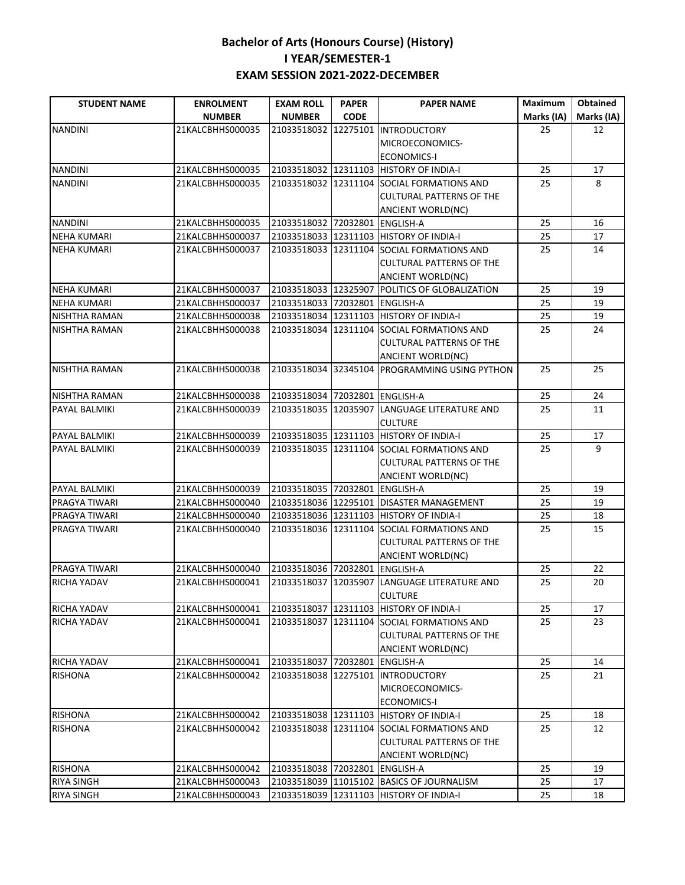| <b>STUDENT NAME</b>  | <b>ENROLMENT</b> | <b>EXAM ROLL</b>               | <b>PAPER</b> | <b>PAPER NAME</b>                             | <b>Maximum</b> | Obtained   |
|----------------------|------------------|--------------------------------|--------------|-----------------------------------------------|----------------|------------|
|                      | <b>NUMBER</b>    | <b>NUMBER</b>                  | <b>CODE</b>  |                                               | Marks (IA)     | Marks (IA) |
| <b>NANDINI</b>       | 21KALCBHHS000035 | 21033518032                    | 12275101     | <b>INTRODUCTORY</b>                           | 25             | 12         |
|                      |                  |                                |              | MICROECONOMICS-                               |                |            |
|                      |                  |                                |              | <b>ECONOMICS-I</b>                            |                |            |
| <b>NANDINI</b>       | 21KALCBHHS000035 |                                |              | 21033518032 12311103 HISTORY OF INDIA-I       | 25             | 17         |
| <b>NANDINI</b>       | 21KALCBHHS000035 | 21033518032 12311104           |              | SOCIAL FORMATIONS AND                         | 25             | 8          |
|                      |                  |                                |              | <b>CULTURAL PATTERNS OF THE</b>               |                |            |
|                      |                  |                                |              | <b>ANCIENT WORLD(NC)</b>                      |                |            |
| <b>NANDINI</b>       | 21KALCBHHS000035 | 21033518032 72032801           |              | <b>ENGLISH-A</b>                              | 25             | 16         |
| <b>NEHA KUMARI</b>   | 21KALCBHHS000037 |                                |              | 21033518033 12311103 HISTORY OF INDIA-I       | 25             | 17         |
| <b>NEHA KUMARI</b>   | 21KALCBHHS000037 | 21033518033 12311104           |              | SOCIAL FORMATIONS AND                         | 25             | 14         |
|                      |                  |                                |              | <b>CULTURAL PATTERNS OF THE</b>               |                |            |
|                      |                  |                                |              | <b>ANCIENT WORLD(NC)</b>                      |                |            |
| <b>NEHA KUMARI</b>   | 21KALCBHHS000037 | 21033518033 12325907           |              | POLITICS OF GLOBALIZATION                     | 25             | 19         |
| <b>NEHA KUMARI</b>   | 21KALCBHHS000037 | 21033518033 72032801           |              | <b>ENGLISH-A</b>                              | 25             | 19         |
| NISHTHA RAMAN        | 21KALCBHHS000038 |                                |              | 21033518034 12311103 HISTORY OF INDIA-I       | 25             | 19         |
| NISHTHA RAMAN        | 21KALCBHHS000038 |                                |              | 21033518034 12311104 SOCIAL FORMATIONS AND    | 25             | 24         |
|                      |                  |                                |              | <b>CULTURAL PATTERNS OF THE</b>               |                |            |
|                      |                  |                                |              | <b>ANCIENT WORLD(NC)</b>                      |                |            |
| <b>NISHTHA RAMAN</b> | 21KALCBHHS000038 |                                |              | 21033518034 32345104 PROGRAMMING USING PYTHON | 25             | 25         |
| NISHTHA RAMAN        | 21KALCBHHS000038 | 21033518034                    |              | 72032801 ENGLISH-A                            | 25             | 24         |
| PAYAL BALMIKI        | 21KALCBHHS000039 | 21033518035 12035907           |              | LANGUAGE LITERATURE AND                       | 25             | 11         |
|                      |                  |                                |              | <b>CULTURE</b>                                |                |            |
| PAYAL BALMIKI        | 21KALCBHHS000039 | 21033518035 12311103           |              | <b>HISTORY OF INDIA-I</b>                     | 25             | 17         |
| PAYAL BALMIKI        | 21KALCBHHS000039 |                                |              | 21033518035 12311104 SOCIAL FORMATIONS AND    | 25             | 9          |
|                      |                  |                                |              | <b>CULTURAL PATTERNS OF THE</b>               |                |            |
|                      |                  |                                |              | <b>ANCIENT WORLD(NC)</b>                      |                |            |
| PAYAL BALMIKI        | 21KALCBHHS000039 | 21033518035 72032801 ENGLISH-A |              |                                               | 25             | 19         |
| PRAGYA TIWARI        | 21KALCBHHS000040 |                                |              | 21033518036 12295101 DISASTER MANAGEMENT      | 25             | 19         |
| PRAGYA TIWARI        | 21KALCBHHS000040 | 21033518036 12311103           |              | <b>HISTORY OF INDIA-I</b>                     | 25             | 18         |
| PRAGYA TIWARI        | 21KALCBHHS000040 |                                |              | 21033518036 12311104 SOCIAL FORMATIONS AND    | 25             | 15         |
|                      |                  |                                |              | <b>CULTURAL PATTERNS OF THE</b>               |                |            |
|                      |                  |                                |              | <b>ANCIENT WORLD(NC)</b>                      |                |            |
| PRAGYA TIWARI        | 21KALCBHHS000040 | 21033518036 72032801           |              | <b>ENGLISH-A</b>                              | 25             | 22         |
| <b>RICHA YADAV</b>   | 21KALCBHHS000041 | 21033518037                    | 12035907     | LANGUAGE LITERATURE AND                       | 25             | 20         |
|                      |                  |                                |              | <b>CULTURE</b>                                |                |            |
| RICHA YADAV          | 21KALCBHHS000041 |                                |              | 21033518037 12311103 HISTORY OF INDIA-I       | 25             | 17         |
| RICHA YADAV          | 21KALCBHHS000041 | 21033518037                    | 12311104     | SOCIAL FORMATIONS AND                         | 25             | 23         |
|                      |                  |                                |              | <b>CULTURAL PATTERNS OF THE</b>               |                |            |
|                      |                  |                                |              | <b>ANCIENT WORLD(NC)</b>                      |                |            |
| RICHA YADAV          | 21KALCBHHS000041 | 21033518037 72032801           |              | <b>ENGLISH-A</b>                              | 25             | 14         |
| <b>RISHONA</b>       | 21KALCBHHS000042 | 21033518038 12275101           |              | <b>INTRODUCTORY</b>                           | 25             | 21         |
|                      |                  |                                |              | MICROECONOMICS-                               |                |            |
|                      |                  |                                |              | <b>ECONOMICS-I</b>                            |                |            |
| <b>RISHONA</b>       | 21KALCBHHS000042 |                                |              | 21033518038 12311103 HISTORY OF INDIA-I       | 25             | 18         |
| <b>RISHONA</b>       | 21KALCBHHS000042 |                                |              | 21033518038 12311104 SOCIAL FORMATIONS AND    | 25             | 12         |
|                      |                  |                                |              | <b>CULTURAL PATTERNS OF THE</b>               |                |            |
|                      |                  |                                |              | ANCIENT WORLD(NC)                             |                |            |
| <b>RISHONA</b>       | 21KALCBHHS000042 | 21033518038 72032801 ENGLISH-A |              |                                               | 25             | 19         |
| <b>RIYA SINGH</b>    | 21KALCBHHS000043 |                                |              | 21033518039 11015102 BASICS OF JOURNALISM     | 25             | 17         |
| <b>RIYA SINGH</b>    | 21KALCBHHS000043 |                                |              | 21033518039 12311103 HISTORY OF INDIA-I       | 25             | 18         |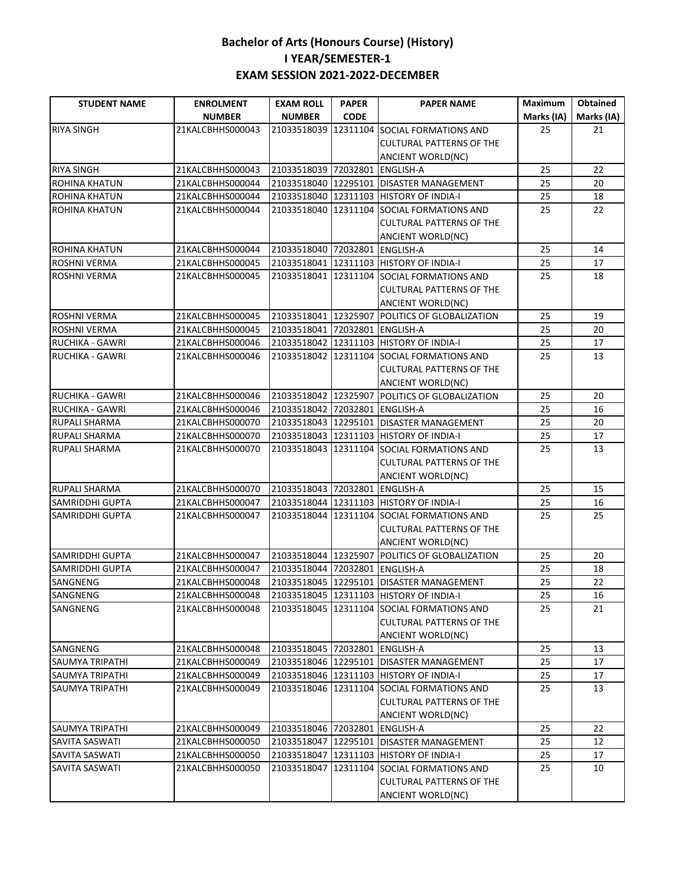| <b>STUDENT NAME</b>                | <b>ENROLMENT</b>                     | <b>EXAM ROLL</b>                             | <b>PAPER</b> | <b>PAPER NAME</b>                                    | <b>Maximum</b> | <b>Obtained</b> |
|------------------------------------|--------------------------------------|----------------------------------------------|--------------|------------------------------------------------------|----------------|-----------------|
|                                    | <b>NUMBER</b>                        | <b>NUMBER</b>                                | <b>CODE</b>  |                                                      | Marks (IA)     | Marks (IA)      |
| <b>RIYA SINGH</b>                  | 21KALCBHHS000043                     | 21033518039                                  | 12311104     | SOCIAL FORMATIONS AND                                | 25             | 21              |
|                                    |                                      |                                              |              | <b>CULTURAL PATTERNS OF THE</b>                      |                |                 |
|                                    |                                      |                                              |              | ANCIENT WORLD(NC)                                    |                |                 |
| <b>RIYA SINGH</b>                  | 21KALCBHHS000043                     | 21033518039 72032801                         |              | <b>ENGLISH-A</b>                                     | 25             | 22              |
| <b>ROHINA KHATUN</b>               | 21KALCBHHS000044                     |                                              |              | 21033518040 12295101 DISASTER MANAGEMENT             | 25             | 20              |
| <b>ROHINA KHATUN</b>               | 21KALCBHHS000044                     | 21033518040 12311103                         |              | <b>HISTORY OF INDIA-I</b>                            | 25             | 18              |
| <b>ROHINA KHATUN</b>               | 21KALCBHHS000044                     |                                              |              | 21033518040 12311104 SOCIAL FORMATIONS AND           | 25             | 22              |
|                                    |                                      |                                              |              | <b>CULTURAL PATTERNS OF THE</b>                      |                |                 |
|                                    |                                      |                                              |              | ANCIENT WORLD(NC)                                    |                |                 |
| <b>ROHINA KHATUN</b>               | 21KALCBHHS000044                     | 21033518040 72032801                         |              | <b>ENGLISH-A</b>                                     | 25             | 14              |
| <b>ROSHNI VERMA</b>                | 21KALCBHHS000045                     |                                              |              | 21033518041 12311103 HISTORY OF INDIA-I              | 25             | 17              |
| <b>ROSHNI VERMA</b>                | 21KALCBHHS000045                     |                                              |              | 21033518041 12311104 SOCIAL FORMATIONS AND           | 25             | 18              |
|                                    |                                      |                                              |              | <b>CULTURAL PATTERNS OF THE</b>                      |                |                 |
|                                    |                                      |                                              |              | ANCIENT WORLD(NC)                                    |                |                 |
| <b>ROSHNI VERMA</b>                | 21KALCBHHS000045                     |                                              |              | 21033518041 12325907 POLITICS OF GLOBALIZATION       | 25             | 19              |
| ROSHNI VERMA                       | 21KALCBHHS000045                     | 21033518041 72032801 ENGLISH-A               |              |                                                      | 25             | 20              |
| <b>RUCHIKA - GAWRI</b>             | 21KALCBHHS000046                     | 21033518042 12311103                         |              | <b>HISTORY OF INDIA-I</b>                            | 25             | 17              |
| <b>RUCHIKA - GAWRI</b>             | 21KALCBHHS000046                     | 21033518042 12311104                         |              | SOCIAL FORMATIONS AND                                | 25             | 13              |
|                                    |                                      |                                              |              | <b>CULTURAL PATTERNS OF THE</b>                      |                |                 |
|                                    |                                      |                                              |              | ANCIENT WORLD(NC)                                    |                |                 |
| <b>RUCHIKA - GAWRI</b>             | 21KALCBHHS000046                     | 21033518042 12325907                         |              | POLITICS OF GLOBALIZATION                            | 25             | 20              |
| <b>RUCHIKA - GAWRI</b>             | 21KALCBHHS000046                     | 21033518042 72032801 ENGLISH-A               |              |                                                      | 25             | 16              |
| <b>RUPALI SHARMA</b>               | 21KALCBHHS000070                     | 21033518043 12295101                         |              | <b>DISASTER MANAGEMENT</b>                           | 25             | 20              |
| <b>RUPALI SHARMA</b>               | 21KALCBHHS000070                     | 21033518043                                  |              | 12311103 HISTORY OF INDIA-I                          | 25             | 17              |
| <b>RUPALI SHARMA</b>               | 21KALCBHHS000070                     | 21033518043                                  |              | 12311104 SOCIAL FORMATIONS AND                       | 25             | 13              |
|                                    |                                      |                                              |              | <b>CULTURAL PATTERNS OF THE</b>                      |                |                 |
|                                    |                                      |                                              |              | ANCIENT WORLD(NC)                                    |                |                 |
| <b>RUPALI SHARMA</b>               | 21KALCBHHS000070                     | 21033518043 72032801                         |              | <b>ENGLISH-A</b>                                     | 25             | 15              |
| <b>SAMRIDDHI GUPTA</b>             | 21KALCBHHS000047                     | 21033518044 12311103                         |              | <b>HISTORY OF INDIA-I</b>                            | 25             | 16              |
| <b>SAMRIDDHI GUPTA</b>             | 21KALCBHHS000047                     |                                              |              | 21033518044 12311104 SOCIAL FORMATIONS AND           | 25             | 25              |
|                                    |                                      |                                              |              | <b>CULTURAL PATTERNS OF THE</b>                      |                |                 |
|                                    |                                      |                                              |              | ANCIENT WORLD(NC)                                    |                |                 |
| <b>SAMRIDDHI GUPTA</b>             | 21KALCBHHS000047                     | 21033518044 12325907<br>21033518044 72032801 |              | POLITICS OF GLOBALIZATION                            | 25             | 20              |
| SAMRIDDHI GUPTA<br><b>SANGNENG</b> | 21KALCBHHS000047<br>21KALCBHHS000048 | 21033518045 12295101                         |              | <b>ENGLISH-A</b><br><b>DISASTER MANAGEMENT</b>       | 25<br>25       | 18<br>22        |
|                                    | 21KALCBHHS000048                     |                                              |              |                                                      | 25             | 16              |
| SANGNENG                           | 21KALCBHHS000048                     |                                              |              | 21033518045 12311103 HISTORY OF INDIA-I              |                |                 |
| SANGNENG                           |                                      |                                              |              | 21033518045 12311104 SOCIAL FORMATIONS AND           | 25             | 21              |
|                                    |                                      |                                              |              | <b>CULTURAL PATTERNS OF THE</b><br>ANCIENT WORLD(NC) |                |                 |
| SANGNENG                           | 21KALCBHHS000048                     | 21033518045 72032801 ENGLISH-A               |              |                                                      | 25             | 13              |
| <b>SAUMYA TRIPATHI</b>             | 21KALCBHHS000049                     |                                              |              | 21033518046 12295101 DISASTER MANAGEMENT             | 25             | 17              |
| <b>SAUMYA TRIPATHI</b>             | 21KALCBHHS000049                     |                                              |              | 21033518046 12311103 HISTORY OF INDIA-I              | 25             | 17              |
| <b>SAUMYA TRIPATHI</b>             | 21KALCBHHS000049                     |                                              |              | 21033518046 12311104 SOCIAL FORMATIONS AND           | 25             | 13              |
|                                    |                                      |                                              |              | <b>CULTURAL PATTERNS OF THE</b>                      |                |                 |
|                                    |                                      |                                              |              | ANCIENT WORLD(NC)                                    |                |                 |
| SAUMYA TRIPATHI                    | 21KALCBHHS000049                     | 21033518046 72032801 ENGLISH-A               |              |                                                      | 25             | 22              |
| SAVITA SASWATI                     | 21KALCBHHS000050                     |                                              |              | 21033518047 12295101 DISASTER MANAGEMENT             | 25             | 12              |
| SAVITA SASWATI                     | 21KALCBHHS000050                     |                                              |              | 21033518047 12311103 HISTORY OF INDIA-I              | 25             | 17              |
| SAVITA SASWATI                     | 21KALCBHHS000050                     | 21033518047                                  | 12311104     | SOCIAL FORMATIONS AND                                | 25             | 10              |
|                                    |                                      |                                              |              | <b>CULTURAL PATTERNS OF THE</b>                      |                |                 |
|                                    |                                      |                                              |              | ANCIENT WORLD(NC)                                    |                |                 |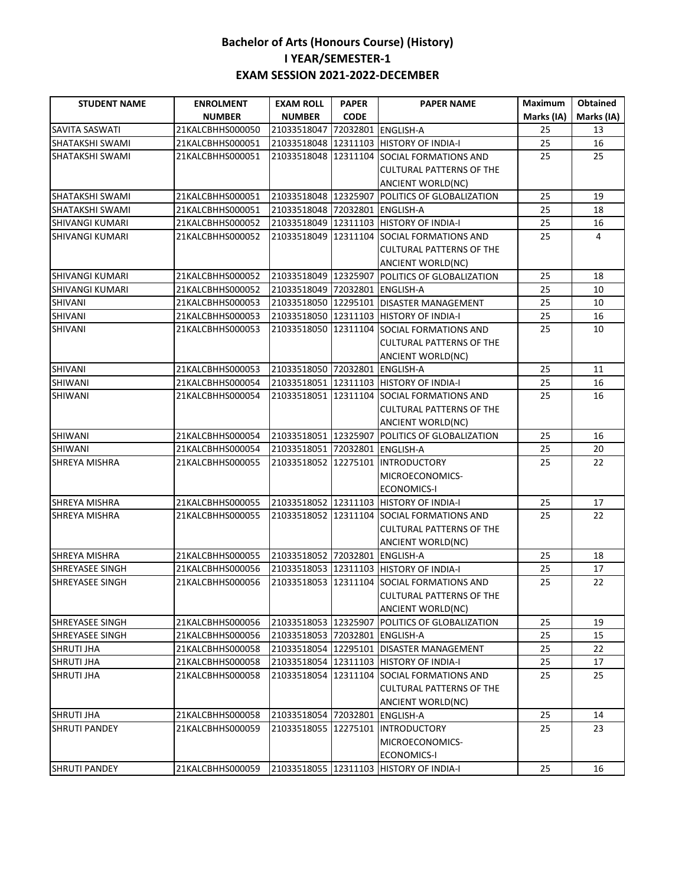| <b>STUDENT NAME</b>    | <b>ENROLMENT</b> | <b>EXAM ROLL</b>               | <b>PAPER</b> | <b>PAPER NAME</b>                              | <b>Maximum</b> | <b>Obtained</b> |
|------------------------|------------------|--------------------------------|--------------|------------------------------------------------|----------------|-----------------|
|                        | <b>NUMBER</b>    | <b>NUMBER</b>                  | <b>CODE</b>  |                                                | Marks (IA)     | Marks (IA)      |
| <b>SAVITA SASWATI</b>  | 21KALCBHHS000050 | 21033518047                    |              | 72032801 ENGLISH-A                             | 25             | 13              |
| SHATAKSHI SWAMI        | 21KALCBHHS000051 |                                |              | 21033518048 12311103 HISTORY OF INDIA-I        | 25             | 16              |
| SHATAKSHI SWAMI        | 21KALCBHHS000051 | 21033518048                    | 12311104     | <b>SOCIAL FORMATIONS AND</b>                   | 25             | 25              |
|                        |                  |                                |              | <b>CULTURAL PATTERNS OF THE</b>                |                |                 |
|                        |                  |                                |              | <b>ANCIENT WORLD(NC)</b>                       |                |                 |
| SHATAKSHI SWAMI        | 21KALCBHHS000051 |                                |              | 21033518048 12325907 POLITICS OF GLOBALIZATION | 25             | 19              |
| SHATAKSHI SWAMI        | 21KALCBHHS000051 | 21033518048 72032801 ENGLISH-A |              |                                                | 25             | 18              |
| SHIVANGI KUMARI        | 21KALCBHHS000052 |                                |              | 21033518049 12311103 HISTORY OF INDIA-I        | 25             | 16              |
| SHIVANGI KUMARI        | 21KALCBHHS000052 | 21033518049 12311104           |              | <b>SOCIAL FORMATIONS AND</b>                   | 25             | 4               |
|                        |                  |                                |              | <b>CULTURAL PATTERNS OF THE</b>                |                |                 |
|                        |                  |                                |              | <b>ANCIENT WORLD(NC)</b>                       |                |                 |
| SHIVANGI KUMARI        | 21KALCBHHS000052 | 21033518049 12325907           |              | POLITICS OF GLOBALIZATION                      | 25             | 18              |
| <b>SHIVANGI KUMARI</b> | 21KALCBHHS000052 | 21033518049 72032801 ENGLISH-A |              |                                                | 25             | 10              |
| SHIVANI                | 21KALCBHHS000053 |                                |              | 21033518050 12295101 DISASTER MANAGEMENT       | 25             | 10              |
| SHIVANI                | 21KALCBHHS000053 |                                |              | 21033518050 12311103 HISTORY OF INDIA-I        | 25             | 16              |
| SHIVANI                | 21KALCBHHS000053 |                                |              | 21033518050 12311104 SOCIAL FORMATIONS AND     | 25             | 10              |
|                        |                  |                                |              | <b>CULTURAL PATTERNS OF THE</b>                |                |                 |
|                        |                  |                                |              | ANCIENT WORLD(NC)                              |                |                 |
| <b>SHIVANI</b>         | 21KALCBHHS000053 | 21033518050 72032801 ENGLISH-A |              |                                                | 25             | 11              |
| SHIWANI                | 21KALCBHHS000054 |                                |              | 21033518051 12311103 HISTORY OF INDIA-I        | 25             | 16              |
| SHIWANI                | 21KALCBHHS000054 |                                |              | 21033518051 12311104 SOCIAL FORMATIONS AND     | 25             | 16              |
|                        |                  |                                |              | <b>CULTURAL PATTERNS OF THE</b>                |                |                 |
|                        |                  |                                |              | <b>ANCIENT WORLD(NC)</b>                       |                |                 |
| <b>SHIWANI</b>         | 21KALCBHHS000054 | 21033518051 12325907           |              | POLITICS OF GLOBALIZATION                      | 25             | 16              |
| <b>SHIWANI</b>         | 21KALCBHHS000054 | 21033518051 72032801 ENGLISH-A |              |                                                | 25             | 20              |
| <b>SHREYA MISHRA</b>   | 21KALCBHHS000055 |                                |              | 21033518052 12275101 INTRODUCTORY              | 25             | 22              |
|                        |                  |                                |              | MICROECONOMICS-                                |                |                 |
|                        |                  |                                |              | <b>ECONOMICS-I</b>                             |                |                 |
| <b>SHREYA MISHRA</b>   | 21KALCBHHS000055 |                                |              | 21033518052 12311103 HISTORY OF INDIA-I        | 25             | 17              |
| <b>SHREYA MISHRA</b>   | 21KALCBHHS000055 |                                |              | 21033518052 12311104 SOCIAL FORMATIONS AND     | 25             | 22              |
|                        |                  |                                |              | <b>CULTURAL PATTERNS OF THE</b>                |                |                 |
|                        |                  |                                |              | <b>ANCIENT WORLD(NC)</b>                       |                |                 |
| <b>SHREYA MISHRA</b>   | 21KALCBHHS000055 | 21033518052 72032801 ENGLISH-A |              |                                                | 25             | 18              |
| <b>SHREYASEE SINGH</b> | 21KALCBHHS000056 |                                |              | 21033518053 12311103 HISTORY OF INDIA-I        | 25             | 17              |
| SHREYASEE SINGH        | 21KALCBHHS000056 |                                |              | 21033518053 12311104 SOCIAL FORMATIONS AND     | 25             | 22              |
|                        |                  |                                |              | <b>CULTURAL PATTERNS OF THE</b>                |                |                 |
|                        |                  |                                |              | ANCIENT WORLD(NC)                              |                |                 |
| <b>SHREYASEE SINGH</b> | 21KALCBHHS000056 | 21033518053 12325907           |              | POLITICS OF GLOBALIZATION                      | 25             | 19              |
| SHREYASEE SINGH        | 21KALCBHHS000056 | 21033518053 72032801           |              | <b>ENGLISH-A</b>                               | 25             | 15              |
| <b>SHRUTI JHA</b>      | 21KALCBHHS000058 | 21033518054 12295101           |              | <b>DISASTER MANAGEMENT</b>                     | 25             | 22              |
| <b>SHRUTI JHA</b>      | 21KALCBHHS000058 | 21033518054                    | 12311103     | <b>HISTORY OF INDIA-I</b>                      | 25             | 17              |
| <b>SHRUTI JHA</b>      | 21KALCBHHS000058 | 21033518054                    | 12311104     | SOCIAL FORMATIONS AND                          | 25             | 25              |
|                        |                  |                                |              | <b>CULTURAL PATTERNS OF THE</b>                |                |                 |
|                        |                  |                                |              | ANCIENT WORLD(NC)                              |                |                 |
| <b>SHRUTI JHA</b>      | 21KALCBHHS000058 | 21033518054 72032801           |              | <b>ENGLISH-A</b>                               | 25             | 14              |
| <b>SHRUTI PANDEY</b>   | 21KALCBHHS000059 | 21033518055 12275101           |              | <b>INTRODUCTORY</b>                            | 25             | 23              |
|                        |                  |                                |              | MICROECONOMICS-                                |                |                 |
|                        |                  |                                |              | <b>ECONOMICS-I</b>                             |                |                 |
| <b>SHRUTI PANDEY</b>   | 21KALCBHHS000059 |                                |              | 21033518055 12311103 HISTORY OF INDIA-I        | 25             | 16              |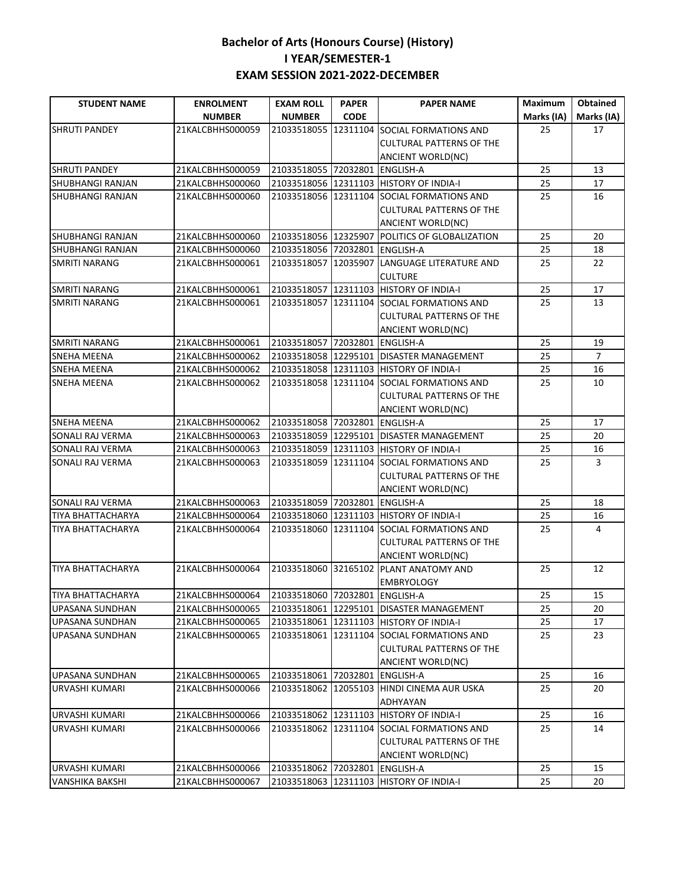| <b>STUDENT NAME</b>      | <b>ENROLMENT</b>                                | <b>EXAM ROLL</b>               | <b>PAPER</b> | <b>PAPER NAME</b>                          | <b>Maximum</b> | <b>Obtained</b> |
|--------------------------|-------------------------------------------------|--------------------------------|--------------|--------------------------------------------|----------------|-----------------|
|                          | <b>NUMBER</b>                                   | <b>NUMBER</b>                  | <b>CODE</b>  |                                            | Marks (IA)     | Marks (IA)      |
| <b>SHRUTI PANDEY</b>     | 21KALCBHHS000059                                | 21033518055                    | 12311104     | SOCIAL FORMATIONS AND                      | 25             | 17              |
|                          |                                                 |                                |              | <b>CULTURAL PATTERNS OF THE</b>            |                |                 |
|                          |                                                 |                                |              | ANCIENT WORLD(NC)                          |                |                 |
| <b>SHRUTI PANDEY</b>     | 21KALCBHHS000059                                | 21033518055 72032801 ENGLISH-A |              |                                            | 25             | 13              |
| <b>SHUBHANGI RANJAN</b>  | 21KALCBHHS000060                                |                                |              | 21033518056 12311103 HISTORY OF INDIA-I    | 25             | 17              |
| <b>SHUBHANGI RANJAN</b>  | 21KALCBHHS000060                                | 21033518056 12311104           |              | <b>SOCIAL FORMATIONS AND</b>               | 25             | 16              |
|                          |                                                 |                                |              | <b>CULTURAL PATTERNS OF THE</b>            |                |                 |
|                          |                                                 |                                |              | ANCIENT WORLD(NC)                          |                |                 |
| <b>SHUBHANGI RANJAN</b>  | 21KALCBHHS000060                                | 21033518056 12325907           |              | <b>POLITICS OF GLOBALIZATION</b>           | 25             | 20              |
| <b>SHUBHANGI RANJAN</b>  | 21KALCBHHS000060                                | 21033518056 72032801 ENGLISH-A |              |                                            | 25             | 18              |
| <b>SMRITI NARANG</b>     | 21KALCBHHS000061                                | 21033518057 12035907           |              | LANGUAGE LITERATURE AND                    | 25             | 22              |
|                          |                                                 |                                |              | <b>CULTURE</b>                             |                |                 |
| <b>SMRITI NARANG</b>     | 21KALCBHHS000061                                |                                |              | 21033518057 12311103 HISTORY OF INDIA-I    | 25             | 17              |
| <b>SMRITI NARANG</b>     | 21KALCBHHS000061                                |                                |              | 21033518057 12311104 SOCIAL FORMATIONS AND | 25             | 13              |
|                          |                                                 |                                |              | <b>CULTURAL PATTERNS OF THE</b>            |                |                 |
|                          |                                                 |                                |              | ANCIENT WORLD(NC)                          |                |                 |
| <b>SMRITI NARANG</b>     | 21KALCBHHS000061                                | 21033518057 72032801 ENGLISH-A |              |                                            | 25             | 19              |
| <b>SNEHA MEENA</b>       | 21KALCBHHS000062                                |                                |              | 21033518058 12295101 DISASTER MANAGEMENT   | 25             | $\overline{7}$  |
| <b>SNEHA MEENA</b>       | 21KALCBHHS000062                                |                                |              | 21033518058 12311103 HISTORY OF INDIA-I    | 25             | 16              |
| <b>SNEHA MEENA</b>       | 21KALCBHHS000062                                |                                |              | 21033518058 12311104 SOCIAL FORMATIONS AND | 25             | 10              |
|                          |                                                 |                                |              | <b>CULTURAL PATTERNS OF THE</b>            |                |                 |
|                          |                                                 |                                |              | <b>ANCIENT WORLD(NC)</b>                   |                |                 |
| <b>SNEHA MEENA</b>       | 21KALCBHHS000062                                | 21033518058 72032801 ENGLISH-A |              |                                            | 25             | 17              |
| SONALI RAJ VERMA         | 21KALCBHHS000063                                |                                |              | 21033518059 12295101 DISASTER MANAGEMENT   | 25             | 20              |
| SONALI RAJ VERMA         | 21KALCBHHS000063                                |                                |              | 21033518059 12311103 HISTORY OF INDIA-I    | 25             | 16              |
| SONALI RAJ VERMA         | 21KALCBHHS000063                                |                                |              | 21033518059 12311104 SOCIAL FORMATIONS AND | 25             | 3               |
|                          |                                                 |                                |              | <b>CULTURAL PATTERNS OF THE</b>            |                |                 |
|                          |                                                 |                                |              | ANCIENT WORLD(NC)                          |                |                 |
| <b>SONALI RAJ VERMA</b>  | 21KALCBHHS000063                                | 21033518059 72032801 ENGLISH-A |              |                                            | 25             | 18              |
| TIYA BHATTACHARYA        | 21KALCBHHS000064                                |                                |              | 21033518060 12311103 HISTORY OF INDIA-I    | 25             | 16              |
| TIYA BHATTACHARYA        | 21KALCBHHS000064                                |                                |              | 21033518060 12311104 SOCIAL FORMATIONS AND | 25             | 4               |
|                          |                                                 |                                |              | <b>CULTURAL PATTERNS OF THE</b>            |                |                 |
|                          |                                                 |                                |              | ANCIENT WORLD(NC)                          |                |                 |
| <b>TIYA BHATTACHARYA</b> | 21KALCBHHS000064                                |                                |              | 21033518060 32165102 PLANT ANATOMY AND     | 25             | 12              |
|                          |                                                 |                                |              | <b>EMBRYOLOGY</b>                          |                |                 |
| <b>TIYA BHATTACHARYA</b> | 21KALCBHHS000064 21033518060 72032801 ENGLISH-A |                                |              |                                            | 25             | $15\,$          |
| UPASANA SUNDHAN          | 21KALCBHHS000065                                |                                |              | 21033518061 12295101 DISASTER MANAGEMENT   | 25             | 20              |
| UPASANA SUNDHAN          | 21KALCBHHS000065                                |                                |              | 21033518061 12311103 HISTORY OF INDIA-I    | 25             | 17              |
| UPASANA SUNDHAN          | 21KALCBHHS000065                                |                                |              | 21033518061 12311104 SOCIAL FORMATIONS AND | 25             | 23              |
|                          |                                                 |                                |              | <b>CULTURAL PATTERNS OF THE</b>            |                |                 |
|                          |                                                 |                                |              | ANCIENT WORLD(NC)                          |                |                 |
| UPASANA SUNDHAN          | 21KALCBHHS000065                                | 21033518061 72032801           |              | <b>ENGLISH-A</b>                           | 25             | 16              |
| URVASHI KUMARI           | 21KALCBHHS000066                                |                                |              | 21033518062 12055103 HINDI CINEMA AUR USKA | 25             | 20              |
|                          |                                                 |                                |              | ADHYAYAN                                   |                |                 |
| URVASHI KUMARI           | 21KALCBHHS000066                                |                                |              | 21033518062 12311103 HISTORY OF INDIA-I    | 25             | 16              |
| URVASHI KUMARI           | 21KALCBHHS000066                                |                                |              | 21033518062 12311104 SOCIAL FORMATIONS AND | 25             | 14              |
|                          |                                                 |                                |              | CULTURAL PATTERNS OF THE                   |                |                 |
|                          |                                                 |                                |              | ANCIENT WORLD(NC)                          |                |                 |
| <b>URVASHI KUMARI</b>    | 21KALCBHHS000066                                | 21033518062 72032801           |              | <b>ENGLISH-A</b>                           | 25             | 15              |
| <b>VANSHIKA BAKSHI</b>   | 21KALCBHHS000067                                | 21033518063 12311103           |              | <b>HISTORY OF INDIA-I</b>                  | 25             | 20              |